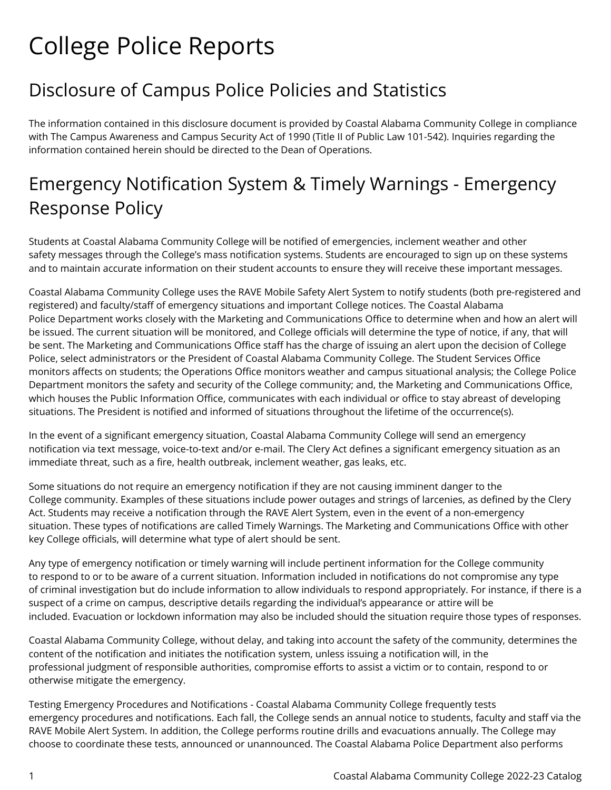## College Police Reports

## Disclosure of Campus Police Policies and Statistics

The information contained in this disclosure document is provided by Coastal Alabama Community College in compliance with The Campus Awareness and Campus Security Act of 1990 (Title II of Public Law 101-542). Inquiries regarding the information contained herein should be directed to the Dean of Operations.

## Emergency Notification System & Timely Warnings - Emergency Response Policy

Students at Coastal Alabama Community College will be notified of emergencies, inclement weather and other safety messages through the College's mass notification systems. Students are encouraged to sign up on these systems and to maintain accurate information on their student accounts to ensure they will receive these important messages.

Coastal Alabama Community College uses the RAVE Mobile Safety Alert System to notify students (both pre-registered and registered) and faculty/staff of emergency situations and important College notices. The Coastal Alabama Police Department works closely with the Marketing and Communications Office to determine when and how an alert will be issued. The current situation will be monitored, and College officials will determine the type of notice, if any, that will be sent. The Marketing and Communications Office staff has the charge of issuing an alert upon the decision of College Police, select administrators or the President of Coastal Alabama Community College. The Student Services Office monitors affects on students; the Operations Office monitors weather and campus situational analysis; the College Police Department monitors the safety and security of the College community; and, the Marketing and Communications Office, which houses the Public Information Office, communicates with each individual or office to stay abreast of developing situations. The President is notified and informed of situations throughout the lifetime of the occurrence(s).

In the event of a significant emergency situation, Coastal Alabama Community College will send an emergency notification via text message, voice-to-text and/or e-mail. The Clery Act defines a significant emergency situation as an immediate threat, such as a fire, health outbreak, inclement weather, gas leaks, etc.

Some situations do not require an emergency notification if they are not causing imminent danger to the College community. Examples of these situations include power outages and strings of larcenies, as defined by the Clery Act. Students may receive a notification through the RAVE Alert System, even in the event of a non-emergency situation. These types of notifications are called Timely Warnings. The Marketing and Communications Office with other key College officials, will determine what type of alert should be sent.

Any type of emergency notification or timely warning will include pertinent information for the College community to respond to or to be aware of a current situation. Information included in notifications do not compromise any type of criminal investigation but do include information to allow individuals to respond appropriately. For instance, if there is a suspect of a crime on campus, descriptive details regarding the individual's appearance or attire will be included. Evacuation or lockdown information may also be included should the situation require those types of responses.

Coastal Alabama Community College, without delay, and taking into account the safety of the community, determines the content of the notification and initiates the notification system, unless issuing a notification will, in the professional judgment of responsible authorities, compromise efforts to assist a victim or to contain, respond to or otherwise mitigate the emergency.

Testing Emergency Procedures and Notifications - Coastal Alabama Community College frequently tests emergency procedures and notifications. Each fall, the College sends an annual notice to students, faculty and staff via the RAVE Mobile Alert System. In addition, the College performs routine drills and evacuations annually. The College may choose to coordinate these tests, announced or unannounced. The Coastal Alabama Police Department also performs